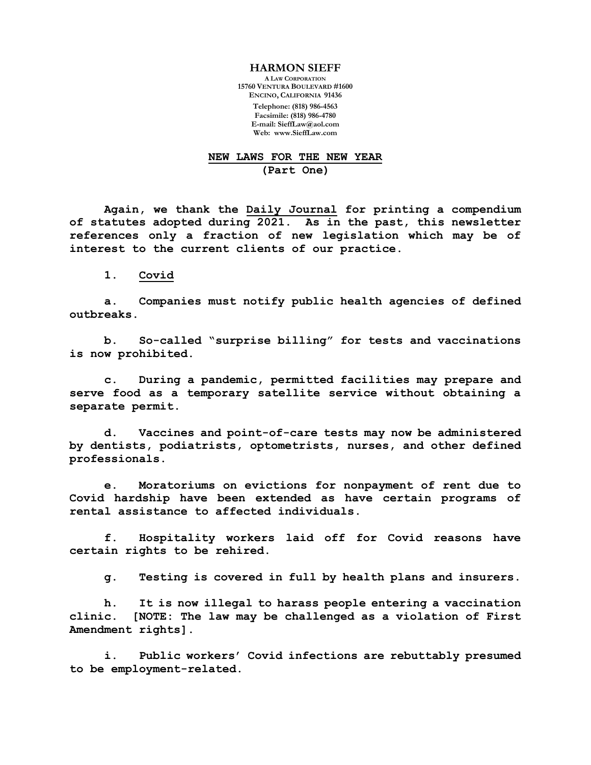## **HARMON SIEFF**

**A LAW CORPORATION 15760 VENTURA BOULEVARD #1600 ENCINO, CALIFORNIA 91436**

> **Telephone: (818) 986-4563 Facsimile: (818) 986-4780 E-mail: [SieffLaw@aol.com](mailto:SieffLaw@aol.com) Web: [www.SieffLaw.com](http://www.siefflaw.com/)**

## **NEW LAWS FOR THE NEW YEAR (Part One)**

**Again, we thank the Daily Journal for printing a compendium of statutes adopted during 2021. As in the past, this newsletter references only a fraction of new legislation which may be of interest to the current clients of our practice.** 

**1. Covid**

**a. Companies must notify public health agencies of defined outbreaks.**

**b. So-called "surprise billing" for tests and vaccinations is now prohibited.**

**c. During a pandemic, permitted facilities may prepare and serve food as a temporary satellite service without obtaining a separate permit.**

**d. Vaccines and point-of-care tests may now be administered by dentists, podiatrists, optometrists, nurses, and other defined professionals.**

**e. Moratoriums on evictions for nonpayment of rent due to Covid hardship have been extended as have certain programs of rental assistance to affected individuals.**

**f. Hospitality workers laid off for Covid reasons have certain rights to be rehired.**

**g. Testing is covered in full by health plans and insurers.**

**h. It is now illegal to harass people entering a vaccination clinic. [NOTE: The law may be challenged as a violation of First Amendment rights].**

**i. Public workers' Covid infections are rebuttably presumed to be employment-related.**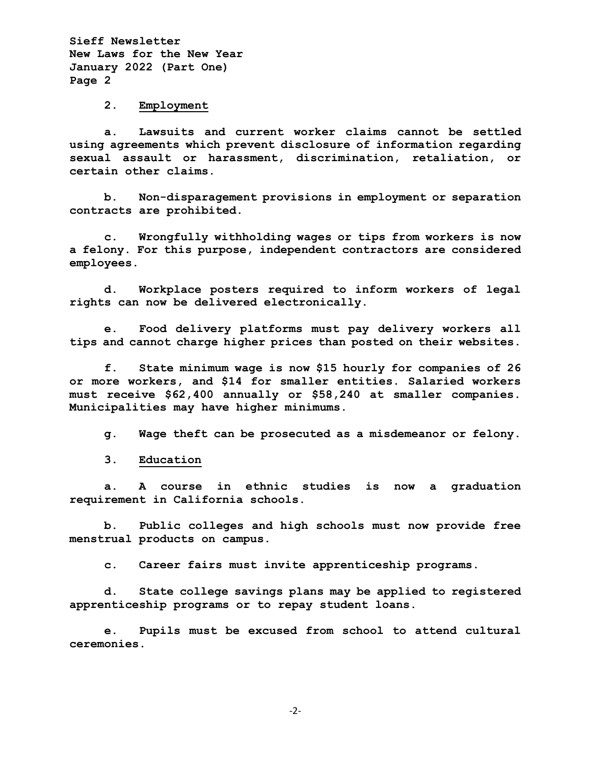## **2. Employment**

**a. Lawsuits and current worker claims cannot be settled using agreements which prevent disclosure of information regarding sexual assault or harassment, discrimination, retaliation, or certain other claims.** 

**b. Non-disparagement provisions in employment or separation contracts are prohibited.**

**c. Wrongfully withholding wages or tips from workers is now a felony. For this purpose, independent contractors are considered employees.**

**d. Workplace posters required to inform workers of legal rights can now be delivered electronically.**

**e. Food delivery platforms must pay delivery workers all tips and cannot charge higher prices than posted on their websites.**

**f. State minimum wage is now \$15 hourly for companies of 26 or more workers, and \$14 for smaller entities. Salaried workers must receive \$62,400 annually or \$58,240 at smaller companies. Municipalities may have higher minimums.**

**g. Wage theft can be prosecuted as a misdemeanor or felony.**

**3. Education**

**a. A course in ethnic studies is now a graduation requirement in California schools.**

**b. Public colleges and high schools must now provide free menstrual products on campus.**

**c. Career fairs must invite apprenticeship programs.**

**d. State college savings plans may be applied to registered apprenticeship programs or to repay student loans.**

**e. Pupils must be excused from school to attend cultural ceremonies.**

-2-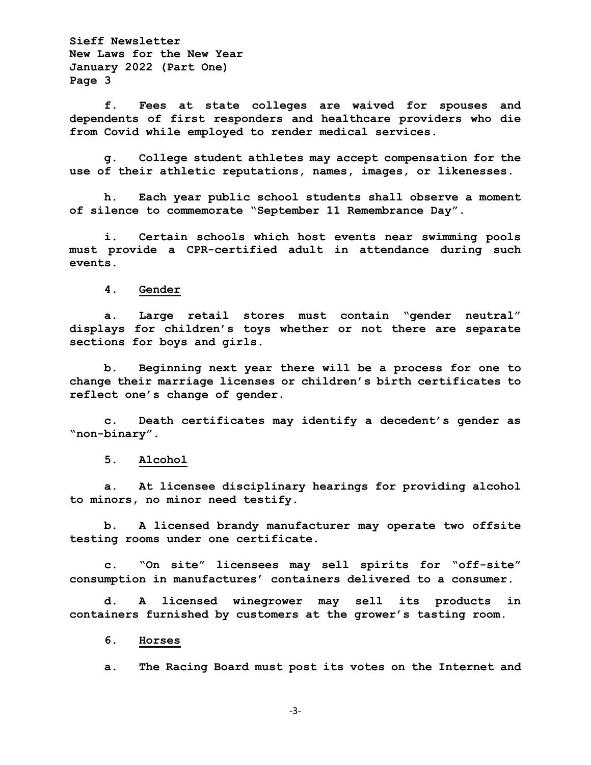**f. Fees at state colleges are waived for spouses and dependents of first responders and healthcare providers who die from Covid while employed to render medical services.**

**g. College student athletes may accept compensation for the use of their athletic reputations, names, images, or likenesses.** 

**h. Each year public school students shall observe a moment of silence to commemorate "September 11 Remembrance Day".**

**i. Certain schools which host events near swimming pools must provide a CPR-certified adult in attendance during such events.**

**4. Gender**

**a. Large retail stores must contain "gender neutral" displays for children's toys whether or not there are separate sections for boys and girls.**

**b. Beginning next year there will be a process for one to change their marriage licenses or children's birth certificates to reflect one's change of gender.**

**c. Death certificates may identify a decedent's gender as "non-binary".**

**5. Alcohol**

**a. At licensee disciplinary hearings for providing alcohol to minors, no minor need testify.**

**b. A licensed brandy manufacturer may operate two offsite testing rooms under one certificate.**

**c. "On site" licensees may sell spirits for "off-site" consumption in manufactures' containers delivered to a consumer.**

**d. A licensed winegrower may sell its products in containers furnished by customers at the grower's tasting room.** 

**6. Horses**

**a. The Racing Board must post its votes on the Internet and** 

-3-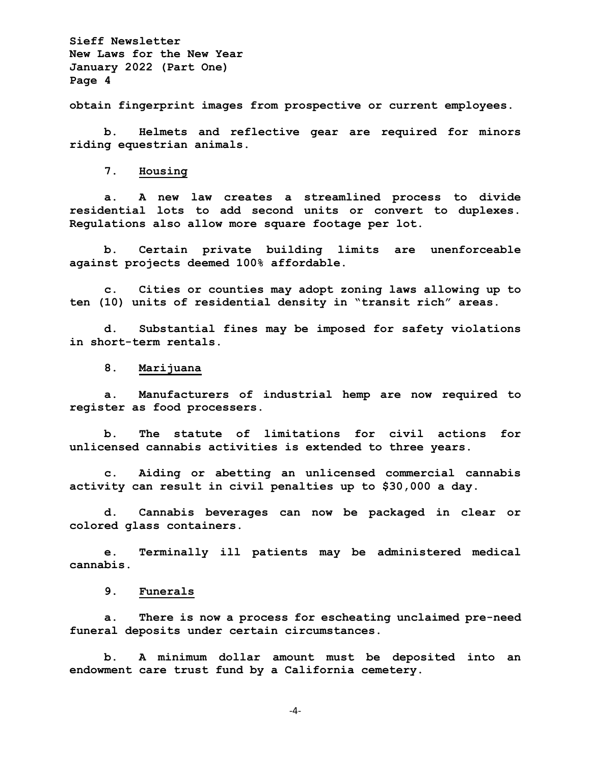**obtain fingerprint images from prospective or current employees.**

**b. Helmets and reflective gear are required for minors riding equestrian animals.**

**7. Housing**

**a. A new law creates a streamlined process to divide residential lots to add second units or convert to duplexes. Regulations also allow more square footage per lot.**

**b. Certain private building limits are unenforceable against projects deemed 100% affordable.**

**c. Cities or counties may adopt zoning laws allowing up to ten (10) units of residential density in "transit rich" areas.**

**d. Substantial fines may be imposed for safety violations in short-term rentals.**

**8. Marijuana**

**a. Manufacturers of industrial hemp are now required to register as food processers.**

**b. The statute of limitations for civil actions for unlicensed cannabis activities is extended to three years.**

**c. Aiding or abetting an unlicensed commercial cannabis activity can result in civil penalties up to \$30,000 a day.**

**d. Cannabis beverages can now be packaged in clear or colored glass containers.**

**e. Terminally ill patients may be administered medical cannabis.**

**9. Funerals**

**a. There is now a process for escheating unclaimed pre-need funeral deposits under certain circumstances.**

**b. A minimum dollar amount must be deposited into an endowment care trust fund by a California cemetery.**

-4-